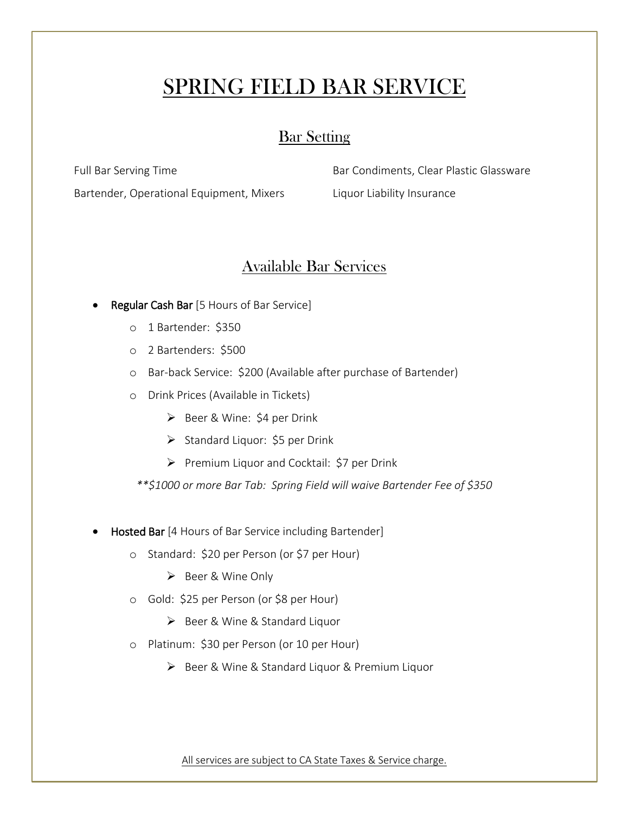# SPRING FIELD BAR SERVICE

### Bar Setting

Full Bar Serving Time

Bartender, Operational Equipment, Mixers

Bar Condiments, Clear Plastic Glassware Liquor Liability Insurance

## Available Bar Services

- Regular Cash Bar [5 Hours of Bar Service]
	- o 1 Bartender: \$350
	- o 2 Bartenders: \$500
	- o Bar-back Service: \$200 (Available after purchase of Bartender)
	- o Drink Prices (Available in Tickets)
		- ➢ Beer & Wine: \$4 per Drink
		- ➢ Standard Liquor: \$5 per Drink
		- ➢ Premium Liquor and Cocktail: \$7 per Drink
		- *\*\*\$1000 or more Bar Tab: Spring Field will waive Bartender Fee of \$350*
- **Hosted Bar** [4 Hours of Bar Service including Bartender]
	- o Standard: \$20 per Person (or \$7 per Hour)
		- ➢ Beer & Wine Only
	- o Gold: \$25 per Person (or \$8 per Hour)
		- ➢ Beer & Wine & Standard Liquor
	- o Platinum: \$30 per Person (or 10 per Hour)
		- ➢ Beer & Wine & Standard Liquor & Premium Liquor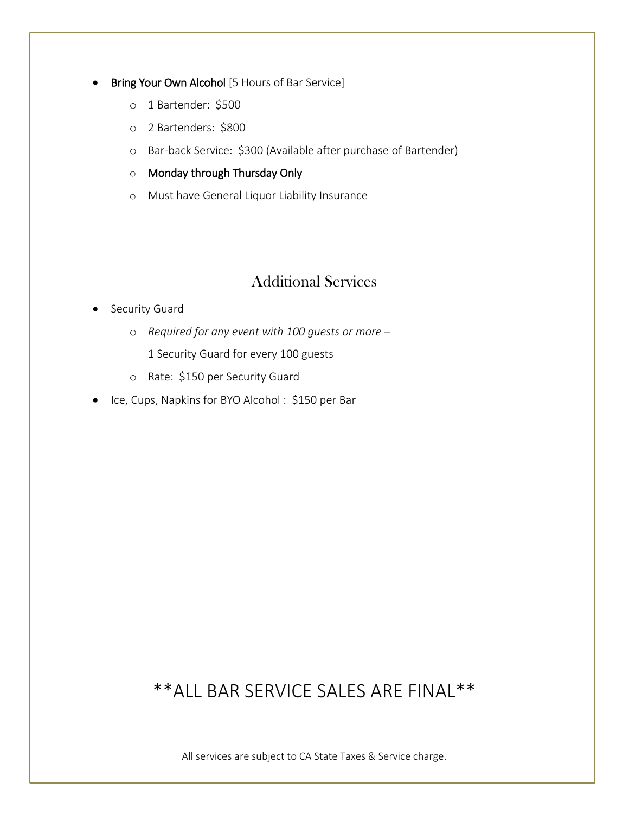#### Bring Your Own Alcohol [5 Hours of Bar Service]

- o 1 Bartender: \$500
- o 2 Bartenders: \$800
- o Bar-back Service: \$300 (Available after purchase of Bartender)
- o Monday through Thursday Only
- o Must have General Liquor Liability Insurance

### Additional Services

- Security Guard
	- o *Required for any event with 100 guests or more*
		- 1 Security Guard for every 100 guests
	- o Rate: \$150 per Security Guard
- Ice, Cups, Napkins for BYO Alcohol : \$150 per Bar

## \*\*ALL BAR SERVICE SALES ARE FINAL\*\*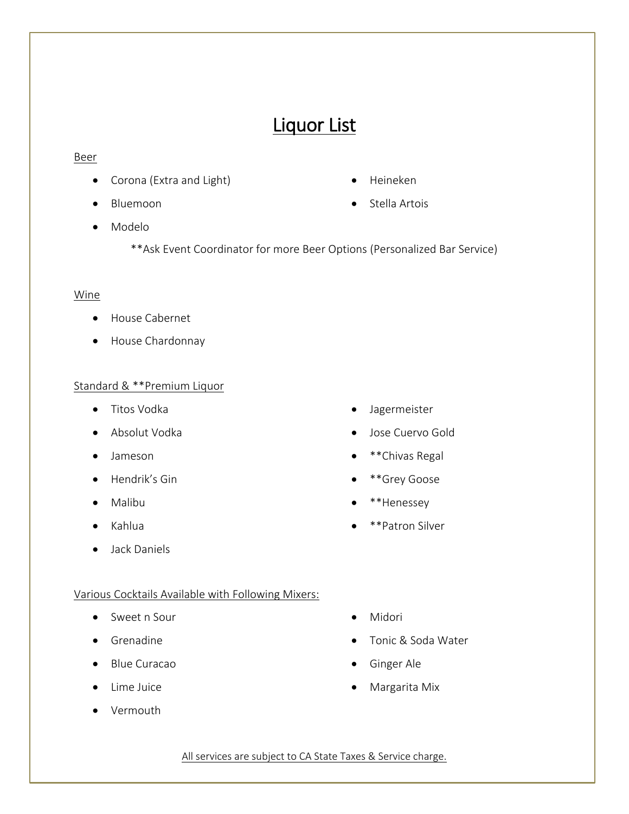## Liquor List

#### Beer

- Corona (Extra and Light)
- Bluemoon
- Heineken
- Stella Artois

- Modelo
	- \*\*Ask Event Coordinator for more Beer Options (Personalized Bar Service)

### Wine

- House Cabernet
- House Chardonnay

### Standard & \*\*Premium Liquor

- Titos Vodka
- Absolut Vodka
- Jameson
- Hendrik's Gin
- Malibu
- Kahlua
- Jack Daniels
- Jagermeister
- Jose Cuervo Gold
- \*\*Chivas Regal
- \*\*Grey Goose
- \*\*Henessey
- \*\*Patron Silver

### Various Cocktails Available with Following Mixers:

- Sweet n Sour
- Grenadine
- Blue Curacao
- Lime Juice
- Vermouth
- Midori
- Tonic & Soda Water
- Ginger Ale
- Margarita Mix